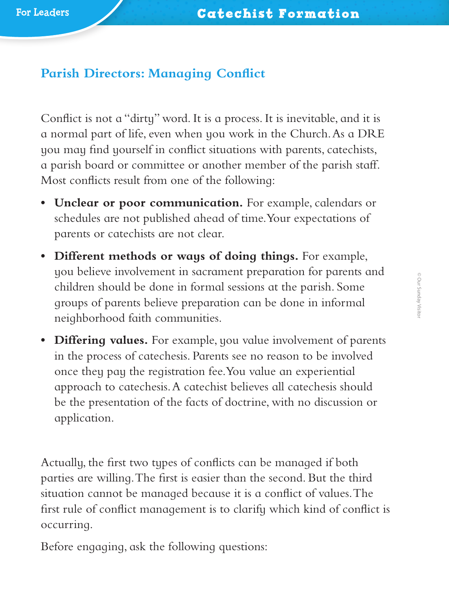## **Parish Directors: Managing Conflict**

Conflict is not a "dirty" word. It is a process. It is inevitable, and it is a normal part of life, even when you work in the Church. As a DRE you may find yourself in conflict situations with parents, catechists, a parish board or committee or another member of the parish staff. Most conflicts result from one of the following:

- **• Unclear or poor communication.** For example, calendars or schedules are not published ahead of time. Your expectations of parents or catechists are not clear.
- **• Different methods or ways of doing things.** For example, you believe involvement in sacrament preparation for parents and children should be done in formal sessions at the parish. Some groups of parents believe preparation can be done in informal neighborhood faith communities.
- **• Differing values.** For example, you value involvement of parents in the process of catechesis. Parents see no reason to be involved once they pay the registration fee. You value an experiential approach to catechesis. A catechist believes all catechesis should be the presentation of the facts of doctrine, with no discussion or application.

Actually, the first two types of conflicts can be managed if both parties are willing. The first is easier than the second. But the third situation cannot be managed because it is a conflict of values. The first rule of conflict management is to clarify which kind of conflict is occurring.

Before engaging, ask the following questions: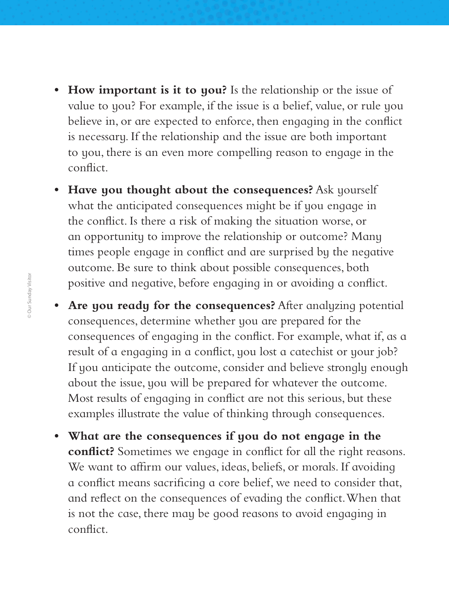- **• How important is it to you?** Is the relationship or the issue of value to you? For example, if the issue is a belief, value, or rule you believe in, or are expected to enforce, then engaging in the conflict is necessary. If the relationship and the issue are both important to you, there is an even more compelling reason to engage in the conflict.
- **• Have you thought about the consequences?** Ask yourself what the anticipated consequences might be if you engage in the conflict. Is there a risk of making the situation worse, or an opportunity to improve the relationship or outcome? Many times people engage in conflict and are surprised by the negative outcome. Be sure to think about possible consequences, both positive and negative, before engaging in or avoiding a conflict.
- **• Are you ready for the consequences?** After analyzing potential consequences, determine whether you are prepared for the consequences of engaging in the conflict. For example, what if, as a result of a engaging in a conflict, you lost a catechist or your job? If you anticipate the outcome, consider and believe strongly enough about the issue, you will be prepared for whatever the outcome. Most results of engaging in conflict are not this serious, but these examples illustrate the value of thinking through consequences.
- **• What are the consequences if you do not engage in the conflict?** Sometimes we engage in conflict for all the right reasons. We want to affirm our values, ideas, beliefs, or morals. If avoiding a conflict means sacrificing a core belief, we need to consider that, and reflect on the consequences of evading the conflict. When that is not the case, there may be good reasons to avoid engaging in conflict.